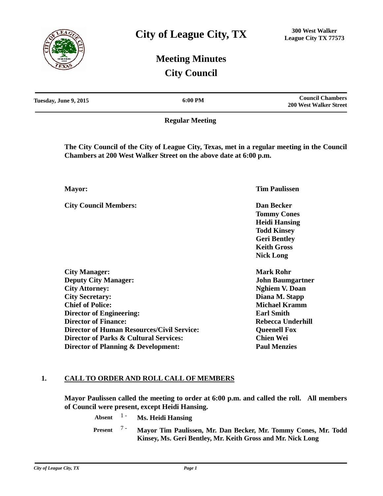# **Meeting Minutes City Council**

| Tuesday, June 9, 2015 | $6:00 \text{ PM}$ | <b>Council Chambers</b><br><b>200 West Walker Street</b> |
|-----------------------|-------------------|----------------------------------------------------------|
|-----------------------|-------------------|----------------------------------------------------------|

**Regular Meeting**

**The City Council of the City of League City, Texas, met in a regular meeting in the Council Chambers at 200 West Walker Street on the above date at 6:00 p.m.**

**City Council Members: Dan Becker**

**Mayor: Tim Paulissen**

 **Tommy Cones Heidi Hansing Todd Kinsey Geri Bentley Keith Gross Nick Long**

City Manager: Mark Rohr **Deputy City Manager: John Baumgartner City Attorney: Nghiem V. Doan City Secretary: Diana M. Stapp Chief of Police: Michael Kramm Director of Engineering:** Earl Smith **Director of Finance:** The **Rebecca Underhill Director of Human Resources/Civil Service: Queenell Fox Director of Parks & Cultural Services: Chien Wei Director of Planning & Development: Paul Menzies**

## **1. CALL TO ORDER AND ROLL CALL OF MEMBERS**

**Mayor Paulissen called the meeting to order at 6:00 p.m. and called the roll. All members of Council were present, except Heidi Hansing.**

- **Absent** <sup>1</sup> **Ms. Heidi Hansing**
- **Mayor Tim Paulissen, Mr. Dan Becker, Mr. Tommy Cones, Mr. Todd Kinsey, Ms. Geri Bentley, Mr. Keith Gross and Mr. Nick Long Present** 7 -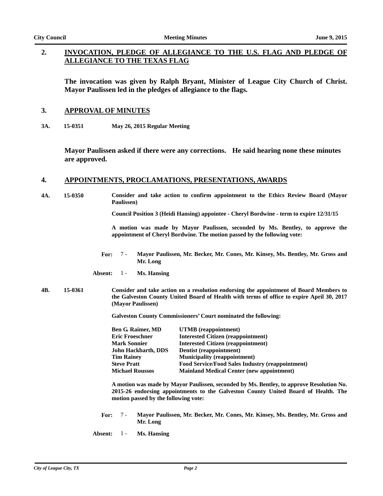#### **INVOCATION, PLEDGE OF ALLEGIANCE TO THE U.S. FLAG AND PLEDGE OF ALLEGIANCE TO THE TEXAS FLAG 2.**

**The invocation was given by Ralph Bryant, Minister of League City Church of Christ. Mayor Paulissen led in the pledges of allegiance to the flags.**

## **3. APPROVAL OF MINUTES**

**3A. 15-0351 May 26, 2015 Regular Meeting**

**Mayor Paulissen asked if there were any corrections. He said hearing none these minutes are approved.**

### **4. APPOINTMENTS, PROCLAMATIONS, PRESENTATIONS, AWARDS**

**4A. 15-0350 Consider and take action to confirm appointment to the Ethics Review Board (Mayor Paulissen)**

**Council Position 3 (Heidi Hansing) appointee - Cheryl Bordwine - term to expire 12/31/15**

**A motion was made by Mayor Paulissen, seconded by Ms. Bentley, to approve the appointment of Cheryl Bordwine. The motion passed by the following vote:**

- **For: Mayor Paulissen, Mr. Becker, Mr. Cones, Mr. Kinsey, Ms. Bentley, Mr. Gross and Mr. Long** For: 7 -
- **Absent:** 1 **Ms. Hansing**
- **4B. 15-0361 Consider and take action on a resolution endorsing the appointment of Board Members to the Galveston County United Board of Health with terms of office to expire April 30, 2017 (Mayor Paulissen)**

**Galveston County Commissioners' Court nominated the following:**

| Ben G. Raimer, MD      | UTMB (reappointment)                                    |
|------------------------|---------------------------------------------------------|
| Eric Froeschner        | <b>Interested Citizen (reappointment)</b>               |
| <b>Mark Sonnier</b>    | <b>Interested Citizen (reappointment)</b>               |
| John Hackbarth, DDS    | Dentist (reappointment)                                 |
| <b>Tim Rainev</b>      | <b>Municipality (reappointment)</b>                     |
| <b>Steve Pratt</b>     | <b>Food Service/Food Sales Industry (reappointment)</b> |
| <b>Michael Roussos</b> | <b>Mainland Medical Center (new appointment)</b>        |

**A motion was made by Mayor Paulissen, seconded by Ms. Bentley, to approve Resolution No. 2015-26 endorsing appointments to the Galveston County United Board of Health. The motion passed by the following vote:**

- **For: Mayor Paulissen, Mr. Becker, Mr. Cones, Mr. Kinsey, Ms. Bentley, Mr. Gross and Mr. Long** 7 -
- **Absent:** 1 **Ms. Hansing**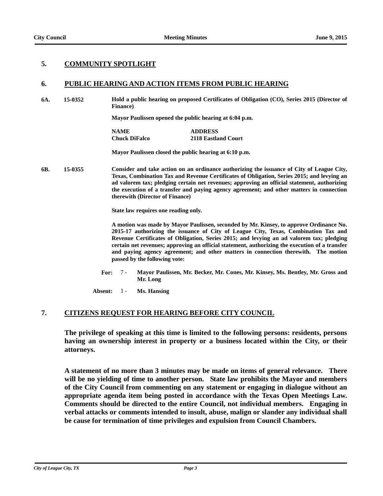## **5. COMMUNITY SPOTLIGHT**

## **6. PUBLIC HEARING AND ACTION ITEMS FROM PUBLIC HEARING**

**6A. 15-0352 Hold a public hearing on proposed Certificates of Obligation (CO), Series 2015 (Director of Finance)**

**Mayor Paulissen opened the public hearing at 6:04 p.m.**

**NAME ADDRESS Chuck DiFalco 2118 Eastland Court**

**Mayor Paulissen closed the public hearing at 6:10 p.m.**

**6B. 15-0355 Consider and take action on an ordinance authorizing the issuance of City of League City, Texas, Combination Tax and Revenue Certificates of Obligation, Series 2015; and levying an ad valorem tax; pledging certain net revenues; approving an official statement, authorizing the execution of a transfer and paying agency agreement; and other matters in connection therewith (Director of Finance)**

**State law requires one reading only.**

**A motion was made by Mayor Paulissen, seconded by Mr. Kinsey, to approve Ordinance No. 2015-17 authorizing the issuance of City of League City, Texas, Combination Tax and Revenue Certificates of Obligation, Series 2015; and levying an ad valorem tax; pledging certain net revenues; approving an official statement, authorizing the execution of a transfer and paying agency agreement; and other matters in connection therewith. The motion passed by the following vote:**

**For: Mayor Paulissen, Mr. Becker, Mr. Cones, Mr. Kinsey, Ms. Bentley, Mr. Gross and Mr. Long** 7 -

**Absent:** 1 - **Ms. Hansing**

## **7. CITIZENS REQUEST FOR HEARING BEFORE CITY COUNCIL**

**The privilege of speaking at this time is limited to the following persons: residents, persons having an ownership interest in property or a business located within the City, or their attorneys.**

**A statement of no more than 3 minutes may be made on items of general relevance. There will be no yielding of time to another person. State law prohibits the Mayor and members of the City Council from commenting on any statement or engaging in dialogue without an appropriate agenda item being posted in accordance with the Texas Open Meetings Law. Comments should be directed to the entire Council, not individual members. Engaging in verbal attacks or comments intended to insult, abuse, malign or slander any individual shall be cause for termination of time privileges and expulsion from Council Chambers.**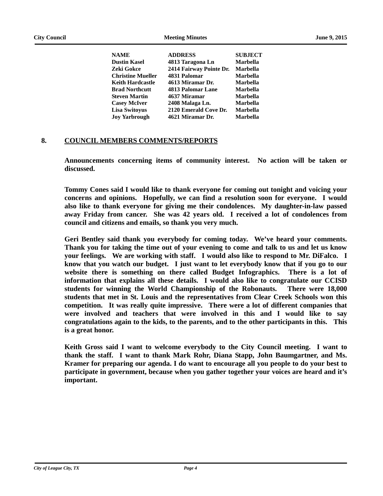| <b>NAME</b>              | <b>ADDRESS</b>          | <b>SUBJECT</b>  |
|--------------------------|-------------------------|-----------------|
| <b>Dustin Kasel</b>      | 4813 Taragona Ln        | <b>Marbella</b> |
| Zeki Gokce               | 2414 Fairway Pointe Dr. | <b>Marbella</b> |
| <b>Christine Mueller</b> | 4831 Palomar            | <b>Marbella</b> |
| Keith Hardcastle         | 4613 Miramar Dr.        | <b>Marbella</b> |
| <b>Brad Northcutt</b>    | 4813 Palomar Lane       | <b>Marbella</b> |
| Steven Martin            | 4637 Miramar            | <b>Marbella</b> |
| <b>Casev McIver</b>      | 2408 Malaga Ln.         | <b>Marbella</b> |
| Lisa Switovus            | 2120 Emerald Cove Dr.   | <b>Marbella</b> |
| <b>Joy Yarbrough</b>     | 4621 Miramar Dr.        | <b>Marbella</b> |
|                          |                         |                 |

## **8. COUNCIL MEMBERS COMMENTS/REPORTS**

**Announcements concerning items of community interest. No action will be taken or discussed.**

**Tommy Cones said I would like to thank everyone for coming out tonight and voicing your concerns and opinions. Hopefully, we can find a resolution soon for everyone. I would also like to thank everyone for giving me their condolences. My daughter-in-law passed away Friday from cancer. She was 42 years old. I received a lot of condolences from council and citizens and emails, so thank you very much.** 

**Geri Bentley said thank you everybody for coming today. We've heard your comments. Thank you for taking the time out of your evening to come and talk to us and let us know your feelings. We are working with staff. I would also like to respond to Mr. DiFalco. I know that you watch our budget. I just want to let everybody know that if you go to our website there is something on there called Budget Infographics. There is a lot of information that explains all these details. I would also like to congratulate our CCISD students for winning the World Championship of the Robonauts. There were 18,000 students that met in St. Louis and the representatives from Clear Creek Schools won this competition. It was really quite impressive. There were a lot of different companies that were involved and teachers that were involved in this and I would like to say congratulations again to the kids, to the parents, and to the other participants in this. This is a great honor.** 

**Keith Gross said I want to welcome everybody to the City Council meeting. I want to thank the staff. I want to thank Mark Rohr, Diana Stapp, John Baumgartner, and Ms. Kramer for preparing our agenda. I do want to encourage all you people to do your best to participate in government, because when you gather together your voices are heard and it's important.**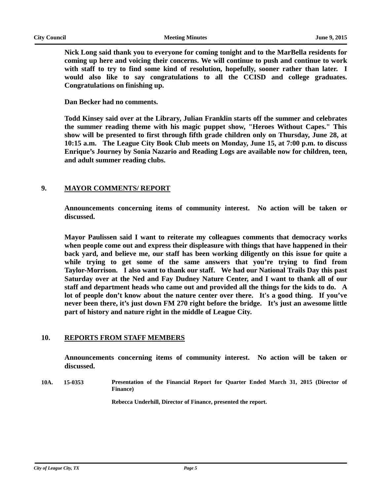**Nick Long said thank you to everyone for coming tonight and to the MarBella residents for coming up here and voicing their concerns. We will continue to push and continue to work with staff to try to find some kind of resolution, hopefully, sooner rather than later. I would also like to say congratulations to all the CCISD and college graduates. Congratulations on finishing up.** 

**Dan Becker had no comments.**

**Todd Kinsey said over at the Library, Julian Franklin starts off the summer and celebrates the summer reading theme with his magic puppet show, "Heroes Without Capes." This show will be presented to first through fifth grade children only on Thursday, June 28, at 10:15 a.m. The League City Book Club meets on Monday, June 15, at 7:00 p.m. to discuss Enrique's Journey by Sonia Nazario and Reading Logs are available now for children, teen, and adult summer reading clubs.**

## **9. MAYOR COMMENTS/ REPORT**

**Announcements concerning items of community interest. No action will be taken or discussed.**

**Mayor Paulissen said I want to reiterate my colleagues comments that democracy works when people come out and express their displeasure with things that have happened in their back yard, and believe me, our staff has been working diligently on this issue for quite a while trying to get some of the same answers that you're trying to find from Taylor-Morrison. I also want to thank our staff. We had our National Trails Day this past Saturday over at the Ned and Fay Dudney Nature Center, and I want to thank all of our staff and department heads who came out and provided all the things for the kids to do. A lot of people don't know about the nature center over there. It's a good thing. If you've never been there, it's just down FM 270 right before the bridge. It's just an awesome little part of history and nature right in the middle of League City.**

## **10. REPORTS FROM STAFF MEMBERS**

**Announcements concerning items of community interest. No action will be taken or discussed.**

**10A. 15-0353 Presentation of the Financial Report for Quarter Ended March 31, 2015 (Director of Finance)**

**Rebecca Underhill, Director of Finance, presented the report.**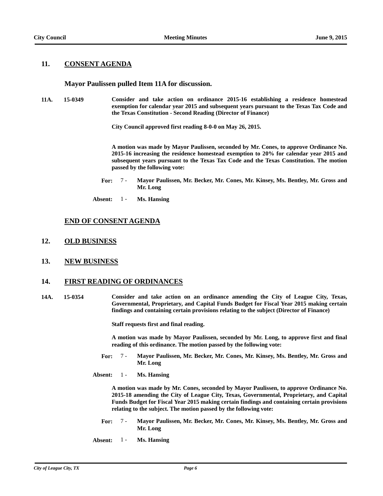## **11. CONSENT AGENDA**

#### **Mayor Paulissen pulled Item 11A for discussion.**

**11A. 15-0349 Consider and take action on ordinance 2015-16 establishing a residence homestead exemption for calendar year 2015 and subsequent years pursuant to the Texas Tax Code and the Texas Constitution - Second Reading (Director of Finance)**

**City Council approved first reading 8-0-0 on May 26, 2015.**

**A motion was made by Mayor Paulissen, seconded by Mr. Cones, to approve Ordinance No. 2015-16 increasing the residence homestead exemption to 20% for calendar year 2015 and subsequent years pursuant to the Texas Tax Code and the Texas Constitution. The motion passed by the following vote:**

**For: Mayor Paulissen, Mr. Becker, Mr. Cones, Mr. Kinsey, Ms. Bentley, Mr. Gross and Mr. Long** 7 -

**Absent:** 1 - **Ms. Hansing**

## **END OF CONSENT AGENDA**

### **12. OLD BUSINESS**

**13. NEW BUSINESS**

#### **14. FIRST READING OF ORDINANCES**

**14A. 15-0354 Consider and take action on an ordinance amending the City of League City, Texas, Governmental, Proprietary, and Capital Funds Budget for Fiscal Year 2015 making certain findings and containing certain provisions relating to the subject (Director of Finance)**

**Staff requests first and final reading.**

**A motion was made by Mayor Paulissen, seconded by Mr. Long, to approve first and final reading of this ordinance. The motion passed by the following vote:**

- **For: Mayor Paulissen, Mr. Becker, Mr. Cones, Mr. Kinsey, Ms. Bentley, Mr. Gross and Mr. Long** 7 -
- **Absent:** 1 **Ms. Hansing**

**A motion was made by Mr. Cones, seconded by Mayor Paulissen, to approve Ordinance No. 2015-18 amending the City of League City, Texas, Governmental, Proprietary, and Capital Funds Budget for Fiscal Year 2015 making certain findings and containing certain provisions relating to the subject. The motion passed by the following vote:**

- **For: Mayor Paulissen, Mr. Becker, Mr. Cones, Mr. Kinsey, Ms. Bentley, Mr. Gross and Mr. Long** 7 -
- **Absent:** 1 **Ms. Hansing**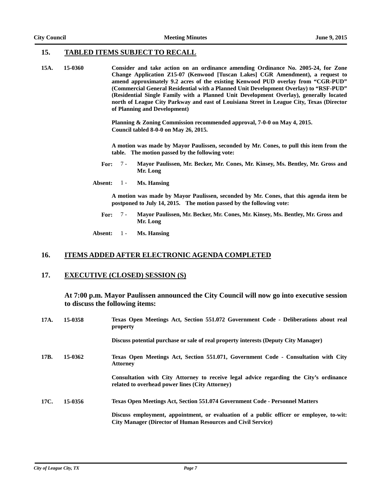## **15. TABLED ITEMS SUBJECT TO RECALL**

**15A. 15-0360 Consider and take action on an ordinance amending Ordinance No. 2005-24, for Zone Change Application Z15-07 (Kenwood [Tuscan Lakes] CGR Amendment), a request to amend approximately 9.2 acres of the existing Kenwood PUD overlay from "CGR-PUD" (Commercial General Residential with a Planned Unit Development Overlay) to "RSF-PUD" (Residential Single Family with a Planned Unit Development Overlay), generally located north of League City Parkway and east of Louisiana Street in League City, Texas (Director of Planning and Development)**

> **Planning & Zoning Commission recommended approval, 7-0-0 on May 4, 2015. Council tabled 8-0-0 on May 26, 2015.**

**A motion was made by Mayor Paulissen, seconded by Mr. Cones, to pull this item from the table. The motion passed by the following vote:**

- **For: Mayor Paulissen, Mr. Becker, Mr. Cones, Mr. Kinsey, Ms. Bentley, Mr. Gross and Mr. Long** 7 -
- **Absent:** 1 **Ms. Hansing**

**A motion was made by Mayor Paulissen, seconded by Mr. Cones, that this agenda item be postponed to July 14, 2015. The motion passed by the following vote:**

- **For: Mayor Paulissen, Mr. Becker, Mr. Cones, Mr. Kinsey, Ms. Bentley, Mr. Gross and Mr. Long** 7 -
- **Absent:** 1 **Ms. Hansing**

## **16. ITEMS ADDED AFTER ELECTRONIC AGENDA COMPLETED**

## **17. EXECUTIVE (CLOSED) SESSION (S)**

## **At 7:00 p.m. Mayor Paulissen announced the City Council will now go into executive session to discuss the following items:**

| 17A. | 15-0358 | Texas Open Meetings Act, Section 551.072 Government Code - Deliberations about real<br>property                                                                |
|------|---------|----------------------------------------------------------------------------------------------------------------------------------------------------------------|
|      |         | Discuss potential purchase or sale of real property interests (Deputy City Manager)                                                                            |
| 17B. | 15-0362 | Texas Open Meetings Act, Section 551.071, Government Code - Consultation with City<br><b>Attorney</b>                                                          |
|      |         | Consultation with City Attorney to receive legal advice regarding the City's ordinance<br>related to overhead power lines (City Attorney)                      |
| 17C. | 15-0356 | Texas Open Meetings Act, Section 551.074 Government Code - Personnel Matters                                                                                   |
|      |         | Discuss employment, appointment, or evaluation of a public officer or employee, to-wit:<br><b>City Manager (Director of Human Resources and Civil Service)</b> |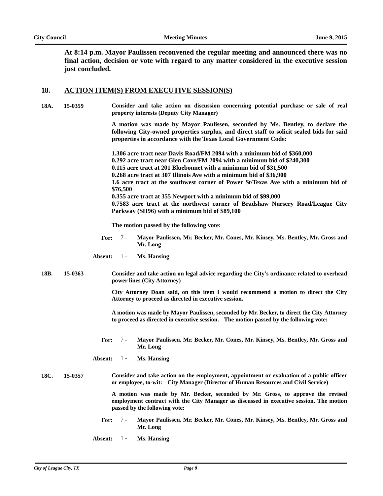**At 8:14 p.m. Mayor Paulissen reconvened the regular meeting and announced there was no final action, decision or vote with regard to any matter considered in the executive session just concluded.**

#### **18. ACTION ITEM(S) FROM EXECUTIVE SESSION(S)**

**18A. 15-0359 Consider and take action on discussion concerning potential purchase or sale of real property interests (Deputy City Manager)**

> **A motion was made by Mayor Paulissen, seconded by Ms. Bentley, to declare the following City-owned properties surplus, and direct staff to solicit sealed bids for said properties in accordance with the Texas Local Government Code:**

> **1.306 acre tract near Davis Road/FM 2094 with a minimum bid of \$360,000 0.292 acre tract near Glen Cove/FM 2094 with a minimum bid of \$240,300 0.115 acre tract at 201 Bluebonnet with a minimum bid of \$31,500 0.268 acre tract at 307 Illinois Ave with a minimum bid of \$36,900 1.6 acre tract at the southwest corner of Power St/Texas Ave with a minimum bid of \$76,500 0.355 acre tract at 355 Newport with a minimum bid of \$99,000 0.7583 acre tract at the northwest corner of Bradshaw Nursery Road/League City Parkway (SH96) with a minimum bid of \$89,100**

**The motion passed by the following vote:**

- **For: Mayor Paulissen, Mr. Becker, Mr. Cones, Mr. Kinsey, Ms. Bentley, Mr. Gross and Mr. Long** 7 -
- **Absent:** 1 **Ms. Hansing**
- **18B. 15-0363 Consider and take action on legal advice regarding the City's ordinance related to overhead power lines (City Attorney)**

**City Attorney Doan said, on this item I would recommend a motion to direct the City Attorney to proceed as directed in executive session.**

**A motion was made by Mayor Paulissen, seconded by Mr. Becker, to direct the City Attorney to proceed as directed in executive session. The motion passed by the following vote:**

- **For: Mayor Paulissen, Mr. Becker, Mr. Cones, Mr. Kinsey, Ms. Bentley, Mr. Gross and Mr. Long** 7 -
- **Absent:** 1 **Ms. Hansing**

#### **18C. 15-0357 Consider and take action on the employment, appointment or evaluation of a public officer or employee, to-wit: City Manager (Director of Human Resources and Civil Service)**

**A motion was made by Mr. Becker, seconded by Mr. Gross, to approve the revised employment contract with the City Manager as discussed in executive session. The motion passed by the following vote:**

- **For: Mayor Paulissen, Mr. Becker, Mr. Cones, Mr. Kinsey, Ms. Bentley, Mr. Gross and Mr. Long** 7 -
- **Absent:** 1 **Ms. Hansing**